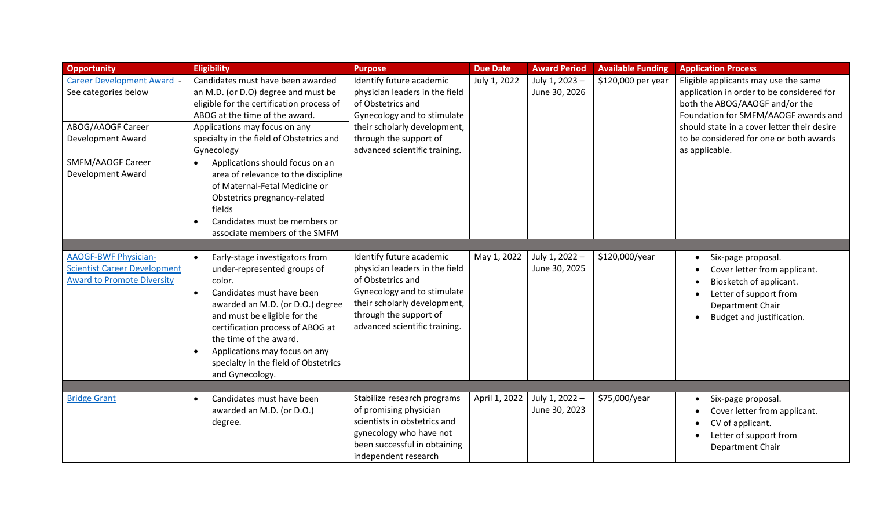| <b>Opportunity</b>                                                                                                                            | <b>Eligibility</b>                                                                                                                                                                                                                                                                                                                                                                                                                                                                                  | <b>Purpose</b>                                                                                                                                                                                            | <b>Due Date</b> | <b>Award Period</b>             | <b>Available Funding</b> | <b>Application Process</b>                                                                                                                                                                                                                                              |
|-----------------------------------------------------------------------------------------------------------------------------------------------|-----------------------------------------------------------------------------------------------------------------------------------------------------------------------------------------------------------------------------------------------------------------------------------------------------------------------------------------------------------------------------------------------------------------------------------------------------------------------------------------------------|-----------------------------------------------------------------------------------------------------------------------------------------------------------------------------------------------------------|-----------------|---------------------------------|--------------------------|-------------------------------------------------------------------------------------------------------------------------------------------------------------------------------------------------------------------------------------------------------------------------|
| <b>Career Development Award -</b><br>See categories below<br>ABOG/AAOGF Career<br>Development Award<br>SMFM/AAOGF Career<br>Development Award | Candidates must have been awarded<br>an M.D. (or D.O) degree and must be<br>eligible for the certification process of<br>ABOG at the time of the award.<br>Applications may focus on any<br>specialty in the field of Obstetrics and<br>Gynecology<br>Applications should focus on an<br>$\bullet$<br>area of relevance to the discipline<br>of Maternal-Fetal Medicine or<br>Obstetrics pregnancy-related<br>fields<br>Candidates must be members or<br>$\bullet$<br>associate members of the SMFM | Identify future academic<br>physician leaders in the field<br>of Obstetrics and<br>Gynecology and to stimulate<br>their scholarly development,<br>through the support of<br>advanced scientific training. | July 1, 2022    | July 1, 2023-<br>June 30, 2026  | \$120,000 per year       | Eligible applicants may use the same<br>application in order to be considered for<br>both the ABOG/AAOGF and/or the<br>Foundation for SMFM/AAOGF awards and<br>should state in a cover letter their desire<br>to be considered for one or both awards<br>as applicable. |
| <b>AAOGF-BWF Physician-</b><br><b>Scientist Career Development</b><br><b>Award to Promote Diversity</b>                                       | Early-stage investigators from<br>$\bullet$<br>under-represented groups of<br>color.<br>Candidates must have been<br>$\bullet$<br>awarded an M.D. (or D.O.) degree<br>and must be eligible for the<br>certification process of ABOG at<br>the time of the award.<br>Applications may focus on any<br>specialty in the field of Obstetrics<br>and Gynecology.                                                                                                                                        | Identify future academic<br>physician leaders in the field<br>of Obstetrics and<br>Gynecology and to stimulate<br>their scholarly development,<br>through the support of<br>advanced scientific training. | May 1, 2022     | July 1, 2022 -<br>June 30, 2025 | \$120,000/year           | Six-page proposal.<br>٠<br>Cover letter from applicant.<br>$\bullet$<br>Biosketch of applicant.<br>Letter of support from<br>$\bullet$<br>Department Chair<br>Budget and justification.<br>$\bullet$                                                                    |
| <b>Bridge Grant</b>                                                                                                                           | Candidates must have been<br>awarded an M.D. (or D.O.)<br>degree.                                                                                                                                                                                                                                                                                                                                                                                                                                   | Stabilize research programs<br>of promising physician<br>scientists in obstetrics and<br>gynecology who have not<br>been successful in obtaining<br>independent research                                  | April 1, 2022   | July 1, 2022 -<br>June 30, 2023 | \$75,000/year            | Six-page proposal.<br>$\bullet$<br>Cover letter from applicant.<br>$\bullet$<br>CV of applicant.<br>$\bullet$<br>Letter of support from<br>$\bullet$<br>Department Chair                                                                                                |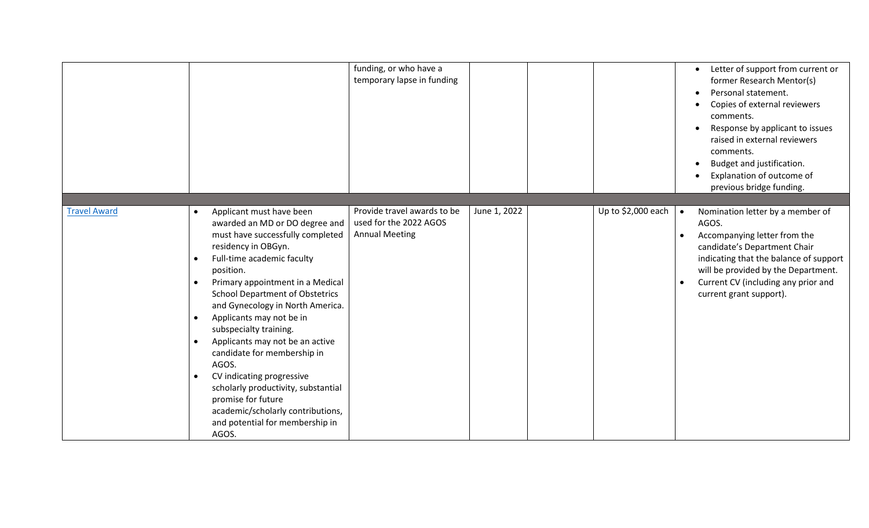|                     |                                                                                                                                                                                                                                                                                                                                                                                                                                                                                                                                                                                                                                                                              | funding, or who have a<br>temporary lapse in funding                           |              |                    | Letter of support from current or<br>$\bullet$<br>former Research Mentor(s)<br>Personal statement.<br>Copies of external reviewers<br>comments.<br>Response by applicant to issues<br>raised in external reviewers<br>comments.<br>Budget and justification.<br>Explanation of outcome of<br>previous bridge funding. |
|---------------------|------------------------------------------------------------------------------------------------------------------------------------------------------------------------------------------------------------------------------------------------------------------------------------------------------------------------------------------------------------------------------------------------------------------------------------------------------------------------------------------------------------------------------------------------------------------------------------------------------------------------------------------------------------------------------|--------------------------------------------------------------------------------|--------------|--------------------|-----------------------------------------------------------------------------------------------------------------------------------------------------------------------------------------------------------------------------------------------------------------------------------------------------------------------|
| <b>Travel Award</b> | Applicant must have been<br>$\bullet$<br>awarded an MD or DO degree and<br>must have successfully completed<br>residency in OBGyn.<br>Full-time academic faculty<br>$\bullet$<br>position.<br>Primary appointment in a Medical<br>$\bullet$<br><b>School Department of Obstetrics</b><br>and Gynecology in North America.<br>Applicants may not be in<br>$\bullet$<br>subspecialty training.<br>Applicants may not be an active<br>$\bullet$<br>candidate for membership in<br>AGOS.<br>CV indicating progressive<br>$\bullet$<br>scholarly productivity, substantial<br>promise for future<br>academic/scholarly contributions,<br>and potential for membership in<br>AGOS. | Provide travel awards to be<br>used for the 2022 AGOS<br><b>Annual Meeting</b> | June 1, 2022 | Up to \$2,000 each | Nomination letter by a member of<br>AGOS.<br>Accompanying letter from the<br>candidate's Department Chair<br>indicating that the balance of support<br>will be provided by the Department.<br>Current CV (including any prior and<br>$\bullet$<br>current grant support).                                             |